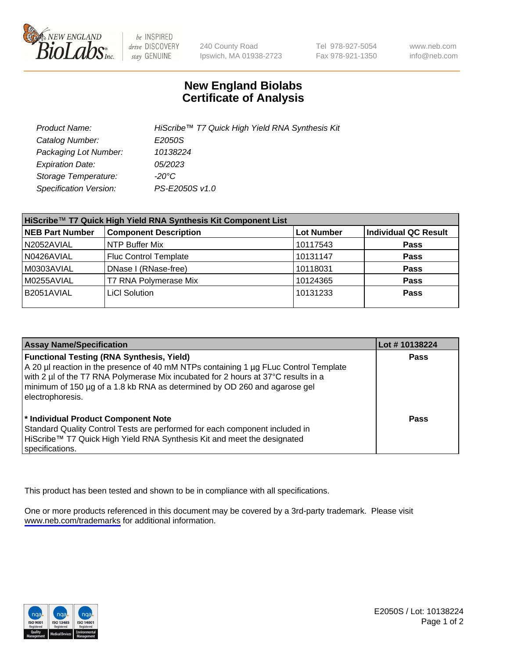

be INSPIRED drive DISCOVERY stay GENUINE

240 County Road Ipswich, MA 01938-2723 Tel 978-927-5054 Fax 978-921-1350

www.neb.com info@neb.com

## **New England Biolabs Certificate of Analysis**

| Product Name:                 | HiScribe™ T7 Quick High Yield RNA Synthesis Kit |
|-------------------------------|-------------------------------------------------|
| Catalog Number:               | E2050S                                          |
| Packaging Lot Number:         | 10138224                                        |
| <b>Expiration Date:</b>       | 05/2023                                         |
| Storage Temperature:          | -20°C                                           |
| <b>Specification Version:</b> | PS-E2050S v1.0                                  |

| HiScribe™ T7 Quick High Yield RNA Synthesis Kit Component List |                              |                   |                      |  |
|----------------------------------------------------------------|------------------------------|-------------------|----------------------|--|
| <b>NEB Part Number</b>                                         | <b>Component Description</b> | <b>Lot Number</b> | Individual QC Result |  |
| N2052AVIAL                                                     | NTP Buffer Mix               | 10117543          | <b>Pass</b>          |  |
| N0426AVIAL                                                     | <b>Fluc Control Template</b> | 10131147          | <b>Pass</b>          |  |
| M0303AVIAL                                                     | DNase I (RNase-free)         | 10118031          | <b>Pass</b>          |  |
| M0255AVIAL                                                     | T7 RNA Polymerase Mix        | 10124365          | <b>Pass</b>          |  |
| B2051AVIAL                                                     | LiCI Solution                | 10131233          | <b>Pass</b>          |  |
|                                                                |                              |                   |                      |  |

| <b>Assay Name/Specification</b>                                                                                                                                                                                                                                                                                                | Lot #10138224 |
|--------------------------------------------------------------------------------------------------------------------------------------------------------------------------------------------------------------------------------------------------------------------------------------------------------------------------------|---------------|
| <b>Functional Testing (RNA Synthesis, Yield)</b><br>A 20 µl reaction in the presence of 40 mM NTPs containing 1 µg FLuc Control Template<br>with 2 µl of the T7 RNA Polymerase Mix incubated for 2 hours at 37°C results in a<br>minimum of 150 µg of a 1.8 kb RNA as determined by OD 260 and agarose gel<br>electrophoresis. | <b>Pass</b>   |
| * Individual Product Component Note<br>Standard Quality Control Tests are performed for each component included in<br>HiScribe™ T7 Quick High Yield RNA Synthesis Kit and meet the designated<br>specifications.                                                                                                               | Pass          |

This product has been tested and shown to be in compliance with all specifications.

One or more products referenced in this document may be covered by a 3rd-party trademark. Please visit <www.neb.com/trademarks>for additional information.